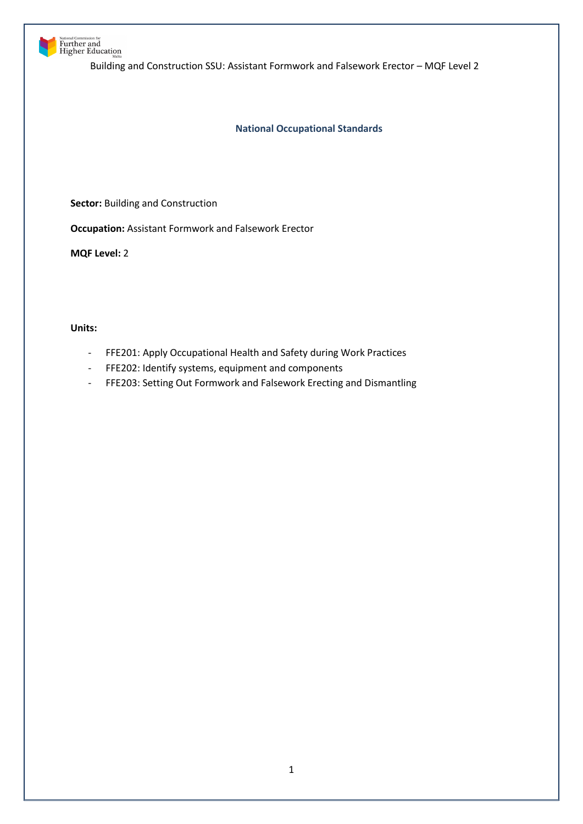

# National Commission for<br>**Further and**<br>Higher Education

Building and Construction SSU: Assistant Formwork and Falsework Erector – MQF Level 2

**National Occupational Standards**

**Sector:** Building and Construction

**Occupation:** Assistant Formwork and Falsework Erector

**MQF Level:** 2

**Units:** 

- FFE201: Apply Occupational Health and Safety during Work Practices
- FFE202: Identify systems, equipment and components
- FFE203: Setting Out Formwork and Falsework Erecting and Dismantling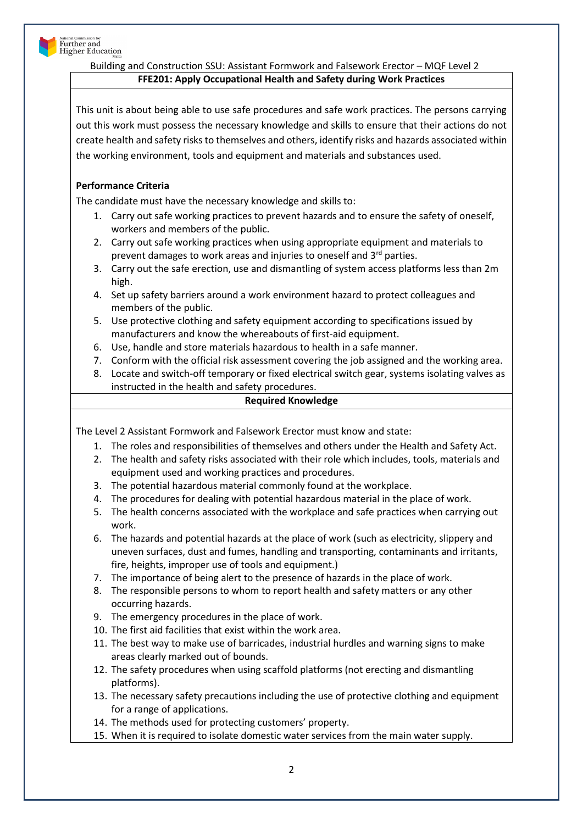

# **FFE201: Apply Occupational Health and Safety during Work Practices**

This unit is about being able to use safe procedures and safe work practices. The persons carrying out this work must possess the necessary knowledge and skills to ensure that their actions do not create health and safety risks to themselves and others, identify risks and hazards associated within the working environment, tools and equipment and materials and substances used.

# **Performance Criteria**

The candidate must have the necessary knowledge and skills to:

- 1. Carry out safe working practices to prevent hazards and to ensure the safety of oneself, workers and members of the public.
- 2. Carry out safe working practices when using appropriate equipment and materials to prevent damages to work areas and injuries to oneself and 3rd parties.
- 3. Carry out the safe erection, use and dismantling of system access platforms less than 2m high.
- 4. Set up safety barriers around a work environment hazard to protect colleagues and members of the public.
- 5. Use protective clothing and safety equipment according to specifications issued by manufacturers and know the whereabouts of first-aid equipment.
- 6. Use, handle and store materials hazardous to health in a safe manner.
- 7. Conform with the official risk assessment covering the job assigned and the working area.
- 8. Locate and switch-off temporary or fixed electrical switch gear, systems isolating valves as instructed in the health and safety procedures.

## **Required Knowledge**

The Level 2 Assistant Formwork and Falsework Erector must know and state:

- 1. The roles and responsibilities of themselves and others under the Health and Safety Act.
- 2. The health and safety risks associated with their role which includes, tools, materials and equipment used and working practices and procedures.
- 3. The potential hazardous material commonly found at the workplace.
- 4. The procedures for dealing with potential hazardous material in the place of work.
- 5. The health concerns associated with the workplace and safe practices when carrying out work.
- 6. The hazards and potential hazards at the place of work (such as electricity, slippery and uneven surfaces, dust and fumes, handling and transporting, contaminants and irritants, fire, heights, improper use of tools and equipment.)
- 7. The importance of being alert to the presence of hazards in the place of work.
- 8. The responsible persons to whom to report health and safety matters or any other occurring hazards.
- 9. The emergency procedures in the place of work.
- 10. The first aid facilities that exist within the work area.
- 11. The best way to make use of barricades, industrial hurdles and warning signs to make areas clearly marked out of bounds.
- 12. The safety procedures when using scaffold platforms (not erecting and dismantling platforms).
- 13. The necessary safety precautions including the use of protective clothing and equipment for a range of applications.
- 14. The methods used for protecting customers' property.
- 15. When it is required to isolate domestic water services from the main water supply.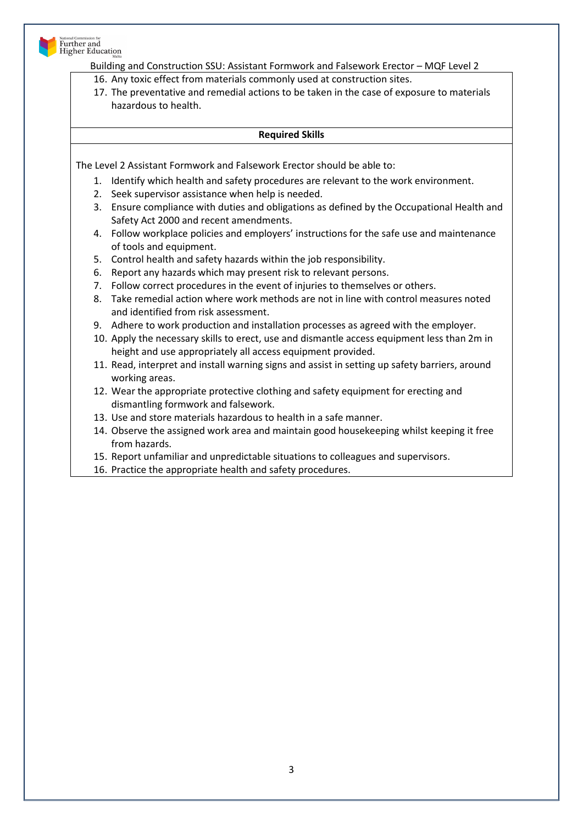

- 16. Any toxic effect from materials commonly used at construction sites.
- 17. The preventative and remedial actions to be taken in the case of exposure to materials hazardous to health.

#### **Required Skills**

The Level 2 Assistant Formwork and Falsework Erector should be able to:

- 1. Identify which health and safety procedures are relevant to the work environment.
- 2. Seek supervisor assistance when help is needed.
- 3. Ensure compliance with duties and obligations as defined by the Occupational Health and Safety Act 2000 and recent amendments.
- 4. Follow workplace policies and employers' instructions for the safe use and maintenance of tools and equipment.
- 5. Control health and safety hazards within the job responsibility.
- 6. Report any hazards which may present risk to relevant persons.
- 7. Follow correct procedures in the event of injuries to themselves or others.
- 8. Take remedial action where work methods are not in line with control measures noted and identified from risk assessment.
- 9. Adhere to work production and installation processes as agreed with the employer.
- 10. Apply the necessary skills to erect, use and dismantle access equipment less than 2m in height and use appropriately all access equipment provided.
- 11. Read, interpret and install warning signs and assist in setting up safety barriers, around working areas.
- 12. Wear the appropriate protective clothing and safety equipment for erecting and dismantling formwork and falsework.
- 13. Use and store materials hazardous to health in a safe manner.
- 14. Observe the assigned work area and maintain good housekeeping whilst keeping it free from hazards.
- 15. Report unfamiliar and unpredictable situations to colleagues and supervisors.
- 16. Practice the appropriate health and safety procedures.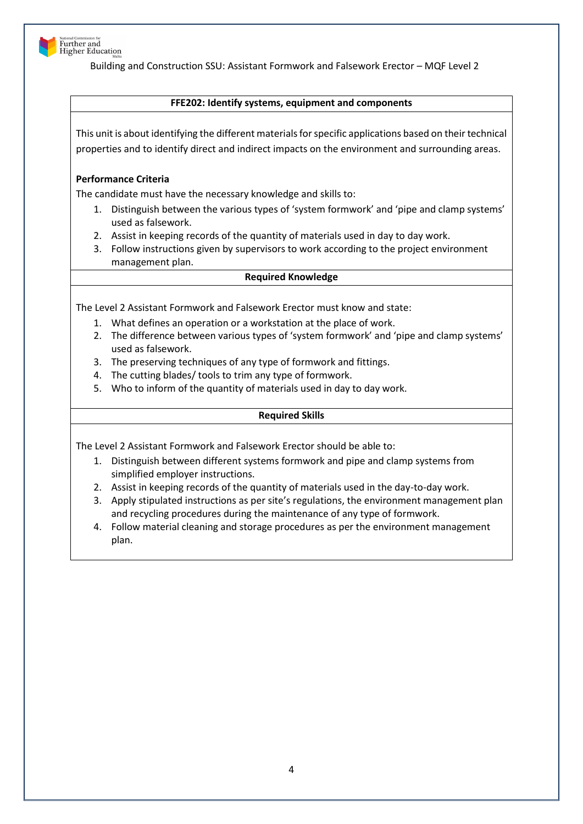

#### **FFE202: Identify systems, equipment and components**

This unit is about identifying the different materials for specific applications based on their technical properties and to identify direct and indirect impacts on the environment and surrounding areas.

## **Performance Criteria**

The candidate must have the necessary knowledge and skills to:

- 1. Distinguish between the various types of 'system formwork' and 'pipe and clamp systems' used as falsework.
- 2. Assist in keeping records of the quantity of materials used in day to day work.
- 3. Follow instructions given by supervisors to work according to the project environment management plan.

#### **Required Knowledge**

The Level 2 Assistant Formwork and Falsework Erector must know and state:

- 1. What defines an operation or a workstation at the place of work.
- 2. The difference between various types of 'system formwork' and 'pipe and clamp systems' used as falsework.
- 3. The preserving techniques of any type of formwork and fittings.
- 4. The cutting blades/ tools to trim any type of formwork.
- 5. Who to inform of the quantity of materials used in day to day work.

## **Required Skills**

The Level 2 Assistant Formwork and Falsework Erector should be able to:

- 1. Distinguish between different systems formwork and pipe and clamp systems from simplified employer instructions.
- 2. Assist in keeping records of the quantity of materials used in the day-to-day work.
- 3. Apply stipulated instructions as per site's regulations, the environment management plan and recycling procedures during the maintenance of any type of formwork.
- 4. Follow material cleaning and storage procedures as per the environment management plan.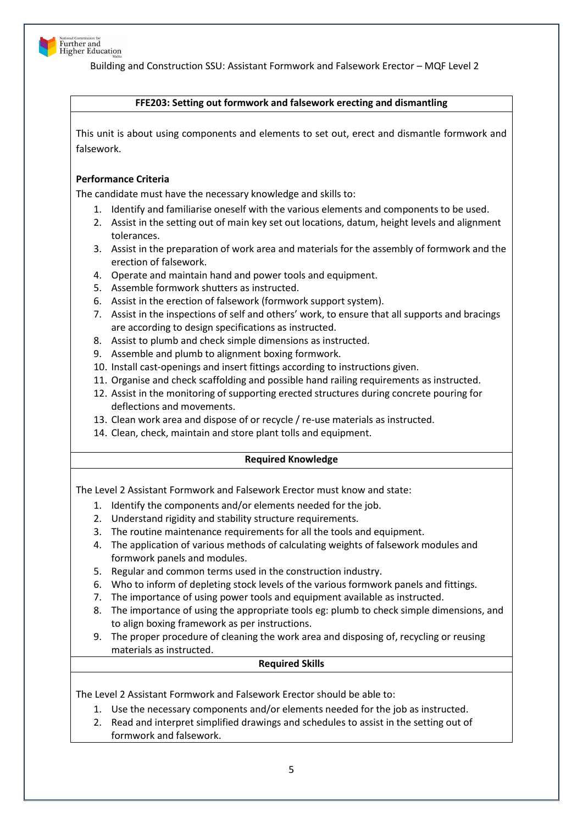

#### **FFE203: Setting out formwork and falsework erecting and dismantling**

This unit is about using components and elements to set out, erect and dismantle formwork and falsework.

## **Performance Criteria**

The candidate must have the necessary knowledge and skills to:

- 1. Identify and familiarise oneself with the various elements and components to be used.
- 2. Assist in the setting out of main key set out locations, datum, height levels and alignment tolerances.
- 3. Assist in the preparation of work area and materials for the assembly of formwork and the erection of falsework.
- 4. Operate and maintain hand and power tools and equipment.
- 5. Assemble formwork shutters as instructed.
- 6. Assist in the erection of falsework (formwork support system).
- 7. Assist in the inspections of self and others' work, to ensure that all supports and bracings are according to design specifications as instructed.
- 8. Assist to plumb and check simple dimensions as instructed.
- 9. Assemble and plumb to alignment boxing formwork.
- 10. Install cast-openings and insert fittings according to instructions given.
- 11. Organise and check scaffolding and possible hand railing requirements as instructed.
- 12. Assist in the monitoring of supporting erected structures during concrete pouring for deflections and movements.
- 13. Clean work area and dispose of or recycle / re-use materials as instructed.
- 14. Clean, check, maintain and store plant tolls and equipment.

## **Required Knowledge**

The Level 2 Assistant Formwork and Falsework Erector must know and state:

- 1. Identify the components and/or elements needed for the job.
- 2. Understand rigidity and stability structure requirements.
- 3. The routine maintenance requirements for all the tools and equipment.
- 4. The application of various methods of calculating weights of falsework modules and formwork panels and modules.
- 5. Regular and common terms used in the construction industry.
- 6. Who to inform of depleting stock levels of the various formwork panels and fittings.
- 7. The importance of using power tools and equipment available as instructed.
- 8. The importance of using the appropriate tools eg: plumb to check simple dimensions, and to align boxing framework as per instructions.
- 9. The proper procedure of cleaning the work area and disposing of, recycling or reusing materials as instructed.

## **Required Skills**

The Level 2 Assistant Formwork and Falsework Erector should be able to:

- 1. Use the necessary components and/or elements needed for the job as instructed.
- 2. Read and interpret simplified drawings and schedules to assist in the setting out of formwork and falsework.